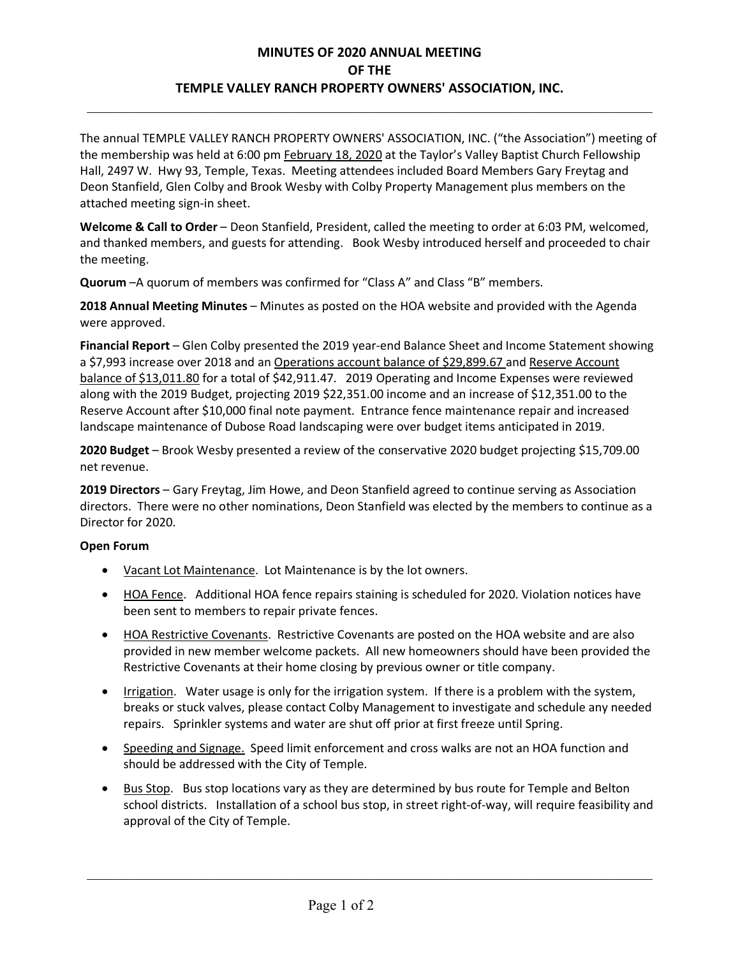## **MINUTES OF 2020 ANNUAL MEETING OF THE TEMPLE VALLEY RANCH PROPERTY OWNERS' ASSOCIATION, INC.**

 $\mathcal{L}_{\mathcal{L}}$  , and the contribution of the contribution of the contribution of the contribution of the contribution of the contribution of the contribution of the contribution of the contribution of the contribution of

The annual TEMPLE VALLEY RANCH PROPERTY OWNERS' ASSOCIATION, INC. ("the Association") meeting of the membership was held at 6:00 pm February 18, 2020 at the Taylor's Valley Baptist Church Fellowship Hall, 2497 W. Hwy 93, Temple, Texas. Meeting attendees included Board Members Gary Freytag and Deon Stanfield, Glen Colby and Brook Wesby with Colby Property Management plus members on the attached meeting sign-in sheet.

**Welcome & Call to Order** – Deon Stanfield, President, called the meeting to order at 6:03 PM, welcomed, and thanked members, and guests for attending. Book Wesby introduced herself and proceeded to chair the meeting.

**Quorum** –A quorum of members was confirmed for "Class A" and Class "B" members.

**2018 Annual Meeting Minutes** – Minutes as posted on the HOA website and provided with the Agenda were approved.

**Financial Report** – Glen Colby presented the 2019 year-end Balance Sheet and Income Statement showing a \$7,993 increase over 2018 and an Operations account balance of \$29,899.67 and Reserve Account balance of \$13,011.80 for a total of \$42,911.47. 2019 Operating and Income Expenses were reviewed along with the 2019 Budget, projecting 2019 \$22,351.00 income and an increase of \$12,351.00 to the Reserve Account after \$10,000 final note payment. Entrance fence maintenance repair and increased landscape maintenance of Dubose Road landscaping were over budget items anticipated in 2019.

**2020 Budget** – Brook Wesby presented a review of the conservative 2020 budget projecting \$15,709.00 net revenue.

**2019 Directors** – Gary Freytag, Jim Howe, and Deon Stanfield agreed to continue serving as Association directors. There were no other nominations, Deon Stanfield was elected by the members to continue as a Director for 2020.

## **Open Forum**

- Vacant Lot Maintenance. Lot Maintenance is by the lot owners.
- HOA Fence. Additional HOA fence repairs staining is scheduled for 2020. Violation notices have been sent to members to repair private fences.
- HOA Restrictive Covenants. Restrictive Covenants are posted on the HOA website and are also provided in new member welcome packets. All new homeowners should have been provided the Restrictive Covenants at their home closing by previous owner or title company.
- Irrigation. Water usage is only for the irrigation system. If there is a problem with the system, breaks or stuck valves, please contact Colby Management to investigate and schedule any needed repairs. Sprinkler systems and water are shut off prior at first freeze until Spring.
- Speeding and Signage. Speed limit enforcement and cross walks are not an HOA function and should be addressed with the City of Temple.
- Bus Stop. Bus stop locations vary as they are determined by bus route for Temple and Belton school districts. Installation of a school bus stop, in street right-of-way, will require feasibility and approval of the City of Temple.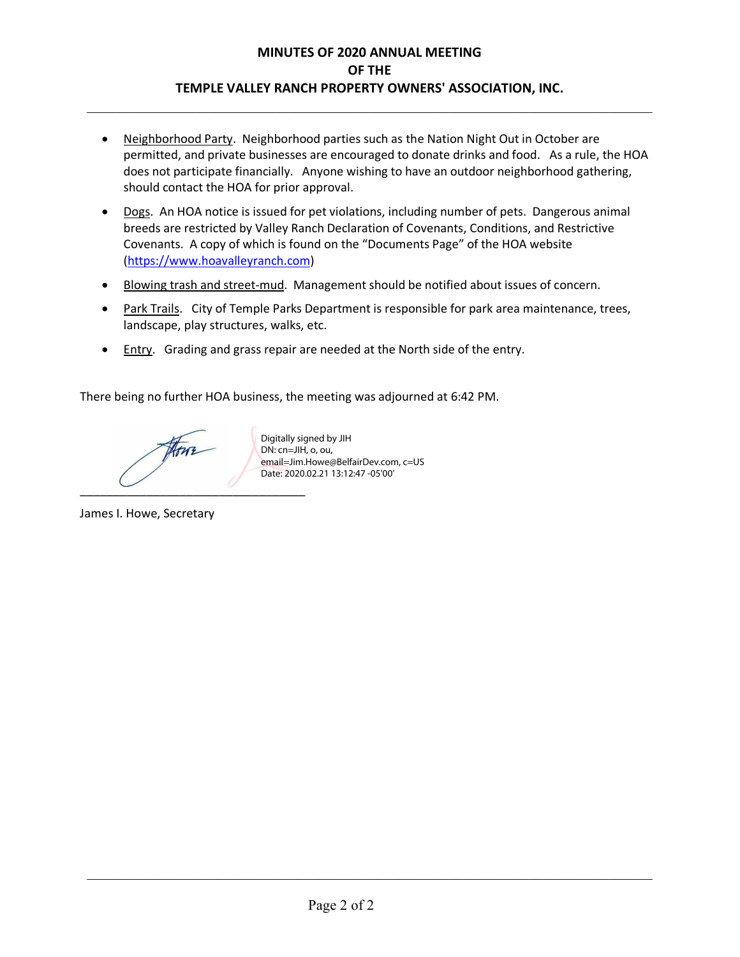## **MINUTES OF 2020 ANNUAL MEETING OF THE TEMPLE VALLEY RANCH PROPERTY OWNERS' ASSOCIATION, INC.**

 $\mathcal{L}_{\mathcal{L}}$  , and the contribution of the contribution of the contribution of the contribution of the contribution of the contribution of the contribution of the contribution of the contribution of the contribution of

- Neighborhood Party. Neighborhood parties such as the Nation Night Out in October are permitted, and private businesses are encouraged to donate drinks and food. As a rule, the HOA does not participate financially. Anyone wishing to have an outdoor neighborhood gathering, should contact the HOA for prior approval.
- Dogs. An HOA notice is issued for pet violations, including number of pets. Dangerous animal breeds are restricted by Valley Ranch Declaration of Covenants, Conditions, and Restrictive Covenants. A copy of which is found on the "Documents Page" of the HOA website (https://www.hoavalleyranch.com)
- Blowing trash and street-mud. Management should be notified about issues of concern.
- Park Trails. City of Temple Parks Department is responsible for park area maintenance, trees, landscape, play structures, walks, etc.
- Entry. Grading and grass repair are needed at the North side of the entry.

There being no further HOA business, the meeting was adjourned at 6:42 PM.

Atur  $\overline{\phantom{a}}$ 

Digitally signed by JIH DN: cn=JIH, o, ou, email=Jim.Howe@BelfairDev.com, c=US Date: 2020.02.21 13:12:47 -05'00'

James I. Howe, Secretary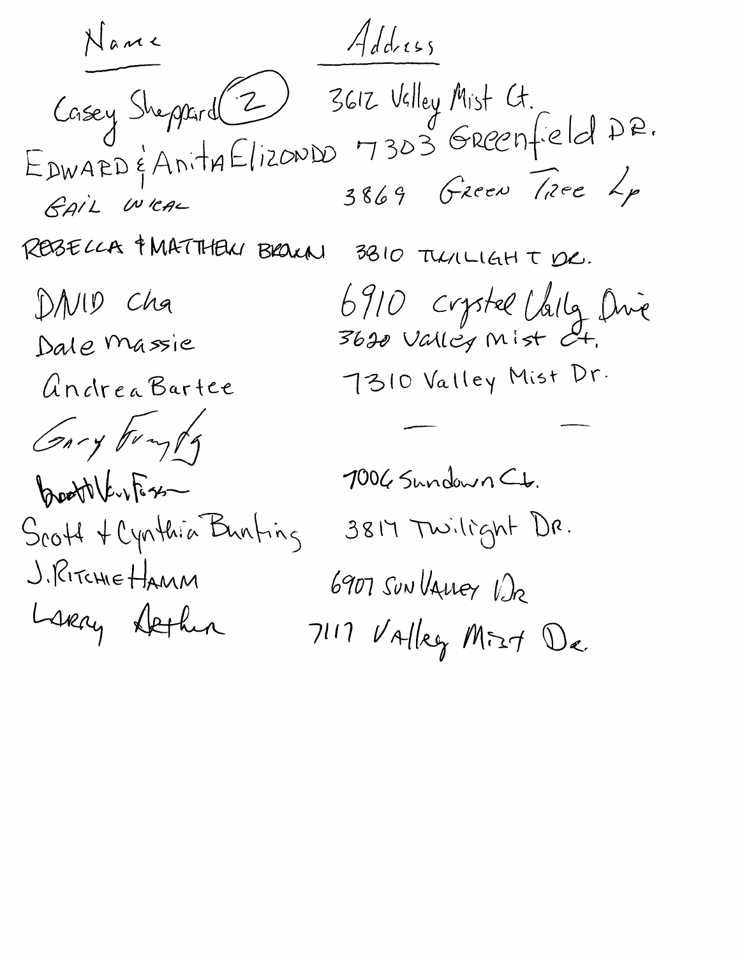Name Address unay support (2) 3612 Valley Mist Ct.<br>EDWARD & AnithElizonDD 7303 GREENfield DR.<br>GAIL Were 3849 REBELLA & MATTHEN BROWN 3810 TULILIGHT DR. 6910 crystel Valla Dive  $DMID$   $Cha$ Dale Massie 7310 Valley Mist Dr. Andrea Bartee Gary Foryty 1006 Sundown Ct. booth kirks 3817 Twilight DR. Scott & Cynthia Bunting J. RITCHIE HAMM 6907 SUNVALLEY VIR Lskay Dethin  $7117$  Valley Mizt De.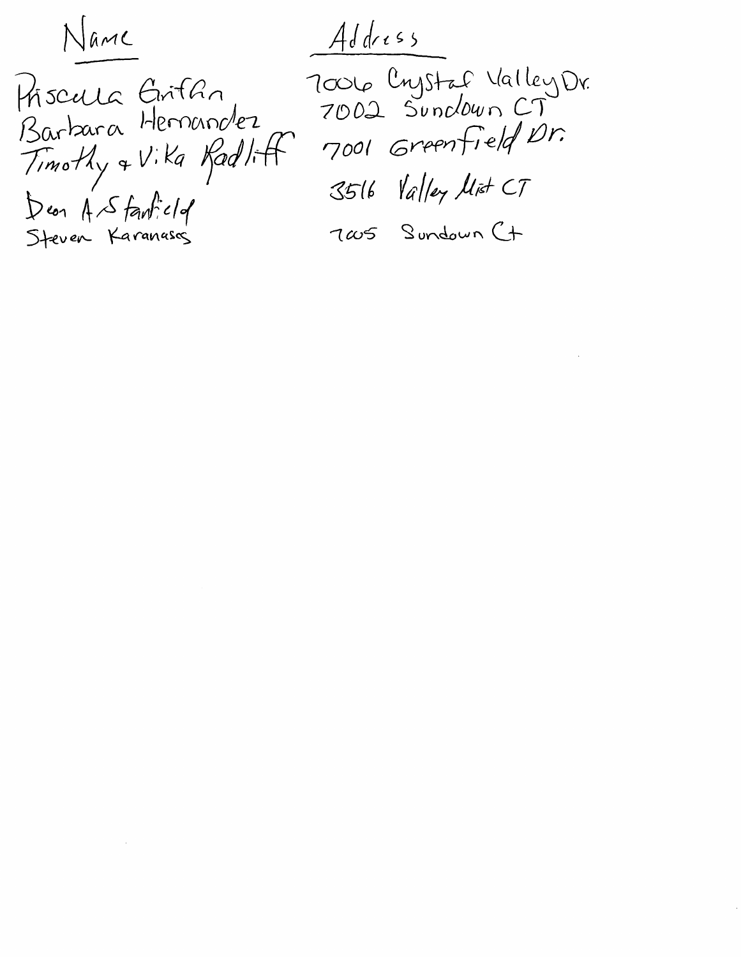Name

Priscula Grifan<br>Barbara Hernandez Timothy & Vika Radlitt

 $Addres$ 7006 Crystaf ValleyDr.<br>7002 Sundown CT 7001 Greenfield Dr. 3516 Valley Mist CT

Dean A Stantield<br>Steven Karanasas

 $\label{eq:2.1} \mathcal{L}(\mathcal{L}^{\mathcal{L}}_{\mathcal{L}}(\mathcal{L}^{\mathcal{L}}_{\mathcal{L}})) = \mathcal{L}(\mathcal{L}^{\mathcal{L}}_{\mathcal{L}}(\mathcal{L}^{\mathcal{L}}_{\mathcal{L}})) = \mathcal{L}(\mathcal{L}^{\mathcal{L}}_{\mathcal{L}}(\mathcal{L}^{\mathcal{L}}_{\mathcal{L}}))$ 

7005 Sundown Ct

 $\label{eq:2.1} \frac{1}{2} \sum_{i=1}^n \frac{1}{2} \sum_{j=1}^n \frac{1}{2} \sum_{j=1}^n \frac{1}{2} \sum_{j=1}^n \frac{1}{2} \sum_{j=1}^n \frac{1}{2} \sum_{j=1}^n \frac{1}{2} \sum_{j=1}^n \frac{1}{2} \sum_{j=1}^n \frac{1}{2} \sum_{j=1}^n \frac{1}{2} \sum_{j=1}^n \frac{1}{2} \sum_{j=1}^n \frac{1}{2} \sum_{j=1}^n \frac{1}{2} \sum_{j=1}^n \frac{$